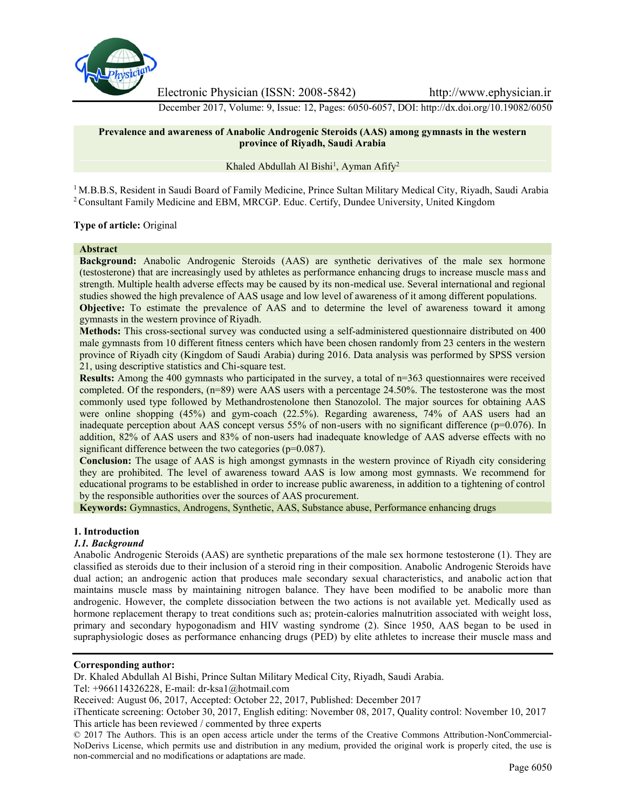

Electronic Physician (ISSN: 2008-5842) http://www.ephysician.ir

December 2017, Volume: 9, Issue: 12, Pages: 6050-6057, DOI: http://dx.doi.org/10.19082/6050

## **Prevalence and awareness of Anabolic Androgenic Steroids (AAS) among gymnasts in the western province of Riyadh, Saudi Arabia**

Khaled Abdullah Al Bishi<sup>1</sup>, Ayman Afify<sup>2</sup>

<sup>1</sup> M.B.B.S, Resident in Saudi Board of Family Medicine, Prince Sultan Military Medical City, Riyadh, Saudi Arabia <sup>2</sup> Consultant Family Medicine and EBM, MRCGP. Educ. Certify, Dundee University, United Kingdom

## **Type of article:** Original

## **Abstract**

**Background:** Anabolic Androgenic Steroids (AAS) are synthetic derivatives of the male sex hormone (testosterone) that are increasingly used by athletes as performance enhancing drugs to increase muscle mass and strength. Multiple health adverse effects may be caused by its non-medical use. Several international and regional studies showed the high prevalence of AAS usage and low level of awareness of it among different populations.

**Objective:** To estimate the prevalence of AAS and to determine the level of awareness toward it among gymnasts in the western province of Riyadh.

**Methods:** This cross-sectional survey was conducted using a self-administered questionnaire distributed on 400 male gymnasts from 10 different fitness centers which have been chosen randomly from 23 centers in the western province of Riyadh city (Kingdom of Saudi Arabia) during 2016. Data analysis was performed by SPSS version 21, using descriptive statistics and Chi-square test.

**Results:** Among the 400 gymnasts who participated in the survey, a total of n=363 questionnaires were received completed. Of the responders, (n=89) were AAS users with a percentage 24.50%. The testosterone was the most commonly used type followed by Methandrostenolone then Stanozolol. The major sources for obtaining AAS were online shopping (45%) and gym-coach (22.5%). Regarding awareness, 74% of AAS users had an inadequate perception about AAS concept versus 55% of non-users with no significant difference (p=0.076). In addition, 82% of AAS users and 83% of non-users had inadequate knowledge of AAS adverse effects with no significant difference between the two categories (p=0.087).

**Conclusion:** The usage of AAS is high amongst gymnasts in the western province of Riyadh city considering they are prohibited. The level of awareness toward AAS is low among most gymnasts. We recommend for educational programs to be established in order to increase public awareness, in addition to a tightening of control by the responsible authorities over the sources of AAS procurement.

**Keywords:** Gymnastics, Androgens, Synthetic, AAS, Substance abuse, Performance enhancing drugs

#### **1. Introduction**

#### *1.1. Background*

Anabolic Androgenic Steroids (AAS) are synthetic preparations of the male sex hormone testosterone (1). They are classified as steroids due to their inclusion of a steroid ring in their composition. Anabolic Androgenic Steroids have dual action; an androgenic action that produces male secondary sexual characteristics, and anabolic action that maintains muscle mass by maintaining nitrogen balance. They have been modified to be anabolic more than androgenic. However, the complete dissociation between the two actions is not available yet. Medically used as hormone replacement therapy to treat conditions such as; protein-calories malnutrition associated with weight loss, primary and secondary hypogonadism and HIV wasting syndrome (2). Since 1950, AAS began to be used in supraphysiologic doses as performance enhancing drugs (PED) by elite athletes to increase their muscle mass and

Tel: +966114326228, E-mail: dr-ksa1@hotmail.com

**Corresponding author:**

Dr. Khaled Abdullah Al Bishi, Prince Sultan Military Medical City, Riyadh, Saudi Arabia.

Received: August 06, 2017, Accepted: October 22, 2017, Published: December 2017

iThenticate screening: October 30, 2017, English editing: November 08, 2017, Quality control: November 10, 2017 This article has been reviewed / commented by three experts

<sup>© 2017</sup> The Authors. This is an open access article under the terms of the Creative Commons Attribution-NonCommercial- NoDerivs License, which permits use and distribution in any medium, provided the original work is properly cited, the use is non-commercial and no modifications or adaptations are made.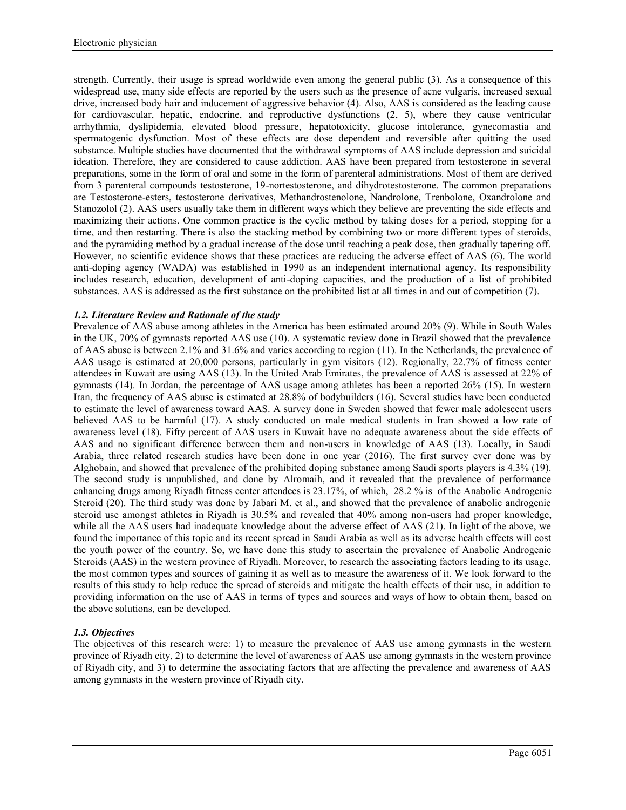strength. Currently, their usage is spread worldwide even among the general public (3). As a consequence of this widespread use, many side effects are reported by the users such as the presence of acne vulgaris, increased sexual drive, increased body hair and inducement of aggressive behavior (4). Also, AAS is considered as the leading cause for cardiovascular, hepatic, endocrine, and reproductive dysfunctions (2, 5), where they cause ventricular arrhythmia, dyslipidemia, elevated blood pressure, hepatotoxicity, glucose intolerance, gynecomastia and spermatogenic dysfunction. Most of these effects are dose dependent and reversible after quitting the used substance. Multiple studies have documented that the withdrawal symptoms of AAS include depression and suicidal ideation. Therefore, they are considered to cause addiction. AAS have been prepared from testosterone in several preparations, some in the form of oral and some in the form of parenteral administrations. Most of them are derived from 3 parenteral compounds testosterone, 19-nortestosterone, and dihydrotestosterone. The common preparations are Testosterone-esters, testosterone derivatives, Methandrostenolone, Nandrolone, Trenbolone, Oxandrolone and Stanozolol (2). AAS users usually take them in different ways which they believe are preventing the side effects and maximizing their actions. One common practice is the cyclic method by taking doses for a period, stopping for a time, and then restarting. There is also the stacking method by combining two or more different types of steroids, and the pyramiding method by a gradual increase of the dose until reaching a peak dose, then gradually tapering off. However, no scientific evidence shows that these practices are reducing the adverse effect of AAS (6). The world anti-doping agency (WADA) was established in 1990 as an independent international agency. Its responsibility includes research, education, development of anti-doping capacities, and the production of a list of prohibited substances. AAS is addressed as the first substance on the prohibited list at all times in and out of competition (7).

# *1.2. Literature Review and Rationale of the study*

Prevalence of AAS abuse among athletes in the America has been estimated around 20% (9). While in South Wales in the UK, 70% of gymnasts reported AAS use (10). A systematic review done in Brazil showed that the prevalence of AAS abuse is between 2.1% and 31.6% and varies according to region (11). In the Netherlands, the prevalence of AAS usage is estimated at 20,000 persons, particularly in gym visitors (12). Regionally, 22.7% of fitness center attendees in Kuwait are using AAS (13). In the United Arab Emirates, the prevalence of AAS is assessed at 22% of gymnasts (14). In Jordan, the percentage of AAS usage among athletes has been a reported 26% (15). In western Iran, the frequency of AAS abuse is estimated at 28.8% of bodybuilders (16). Several studies have been conducted to estimate the level of awareness toward AAS. A survey done in Sweden showed that fewer male adolescent users believed AAS to be harmful (17). A study conducted on male medical students in Iran showed a low rate of awareness level (18). Fifty percent of AAS users in Kuwait have no adequate awareness about the side effects of AAS and no significant difference between them and non-users in knowledge of AAS (13). Locally, in Saudi Arabia, three related research studies have been done in one year (2016). The first survey ever done was by Alghobain, and showed that prevalence of the prohibited doping substance among Saudi sports players is 4.3% (19). The second study is unpublished, and done by Alromaih, and it revealed that the prevalence of performance enhancing drugs among Riyadh fitness center attendees is 23.17%, of which, 28.2 % is of the Anabolic Androgenic Steroid (20). The third study was done by Jabari M. et al., and showed that the prevalence of anabolic androgenic steroid use amongst athletes in Riyadh is 30.5% and revealed that 40% among non-users had proper knowledge, while all the AAS users had inadequate knowledge about the adverse effect of AAS (21). In light of the above, we found the importance of this topic and its recent spread in Saudi Arabia as well as its adverse health effects will cost the youth power of the country. So, we have done this study to ascertain the prevalence of Anabolic Androgenic Steroids (AAS) in the western province of Riyadh. Moreover, to research the associating factors leading to its usage, the most common types and sources of gaining it as well as to measure the awareness of it. We look forward to the results of this study to help reduce the spread of steroids and mitigate the health effects of their use, in addition to providing information on the use of AAS in terms of types and sources and ways of how to obtain them, based on the above solutions, can be developed.

# *1.3. Objectives*

The objectives of this research were: 1) to measure the prevalence of AAS use among gymnasts in the western province of Riyadh city, 2) to determine the level of awareness of AAS use among gymnasts in the western province of Riyadh city, and 3) to determine the associating factors that are affecting the prevalence and awareness of AAS among gymnasts in the western province of Riyadh city.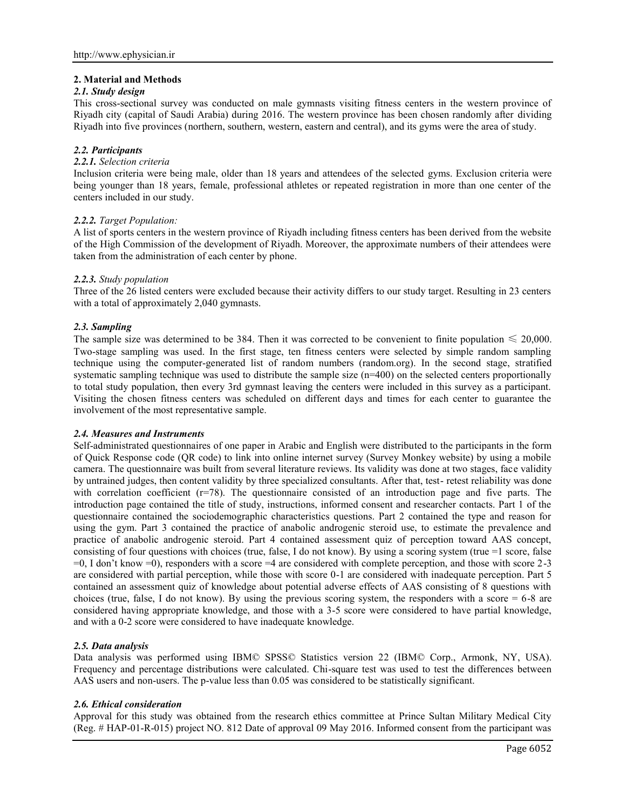## **2. Material and Methods**

## *2.1. Study design*

This cross-sectional survey was conducted on male gymnasts visiting fitness centers in the western province of Riyadh city (capital of Saudi Arabia) during 2016. The western province has been chosen randomly after dividing Riyadh into five provinces (northern, southern, western, eastern and central), and its gyms were the area of study.

## *2.2. Participants*

#### *2.2.1. Selection criteria*

Inclusion criteria were being male, older than 18 years and attendees of the selected gyms. Exclusion criteria were being younger than 18 years, female, professional athletes or repeated registration in more than one center of the centers included in our study.

## *2.2.2. Target Population:*

A list of sports centers in the western province of Riyadh including fitness centers has been derived from the website of the High Commission of the development of Riyadh. Moreover, the approximate numbers of their attendees were taken from the administration of each center by phone.

## *2.2.3. Study population*

Three of the 26 listed centers were excluded because their activity differs to our study target. Resulting in 23 centers with a total of approximately 2,040 gymnasts.

## *2.3. Sampling*

The sample size was determined to be 384. Then it was corrected to be convenient to finite population  $\leq 20,000$ . Two-stage sampling was used. In the first stage, ten fitness centers were selected by simple random sampling technique using the computer-generated list of random numbers (random.org). In the second stage, stratified systematic sampling technique was used to distribute the sample size  $(n=400)$  on the selected centers proportionally to total study population, then every 3rd gymnast leaving the centers were included in this survey as a participant. Visiting the chosen fitness centers was scheduled on different days and times for each center to guarantee the involvement of the most representative sample.

#### *2.4. Measures and Instruments*

Self-administrated questionnaires of one paper in Arabic and English were distributed to the participants in the form of Quick Response code (QR code) to link into online internet survey (Survey Monkey website) by using a mobile camera. The questionnaire was built from several literature reviews. Its validity was done at two stages, face validity by untrained judges, then content validity by three specialized consultants. After that, test- retest reliability was done with correlation coefficient (r=78). The questionnaire consisted of an introduction page and five parts. The introduction page contained the title of study, instructions, informed consent and researcher contacts. Part 1 of the questionnaire contained the sociodemographic characteristics questions. Part 2 contained the type and reason for using the gym. Part 3 contained the practice of anabolic androgenic steroid use, to estimate the prevalence and practice of anabolic androgenic steroid. Part 4 contained assessment quiz of perception toward AAS concept, consisting of four questions with choices (true, false, I do not know). By using a scoring system (true =1 score, false  $=0$ , I don't know  $=0$ ), responders with a score  $=4$  are considered with complete perception, and those with score 2-3 are considered with partial perception, while those with score 0-1 are considered with inadequate perception. Part 5 contained an assessment quiz of knowledge about potential adverse effects of AAS consisting of 8 questions with choices (true, false, I do not know). By using the previous scoring system, the responders with a score  $= 6-8$  are considered having appropriate knowledge, and those with a 3-5 score were considered to have partial knowledge, and with a 0-2 score were considered to have inadequate knowledge.

#### *2.5. Data analysis*

Data analysis was performed using IBM© SPSS© Statistics version 22 (IBM© Corp., Armonk, NY, USA). Frequency and percentage distributions were calculated. Chi-square test was used to test the differences between AAS users and non-users. The p-value less than 0.05 was considered to be statistically significant.

#### *2.6. Ethical consideration*

Approval for this study was obtained from the research ethics committee at Prince Sultan Military Medical City (Reg. # HAP-01-R-015) project NO. 812 Date of approval 09 May 2016. Informed consent from the participant was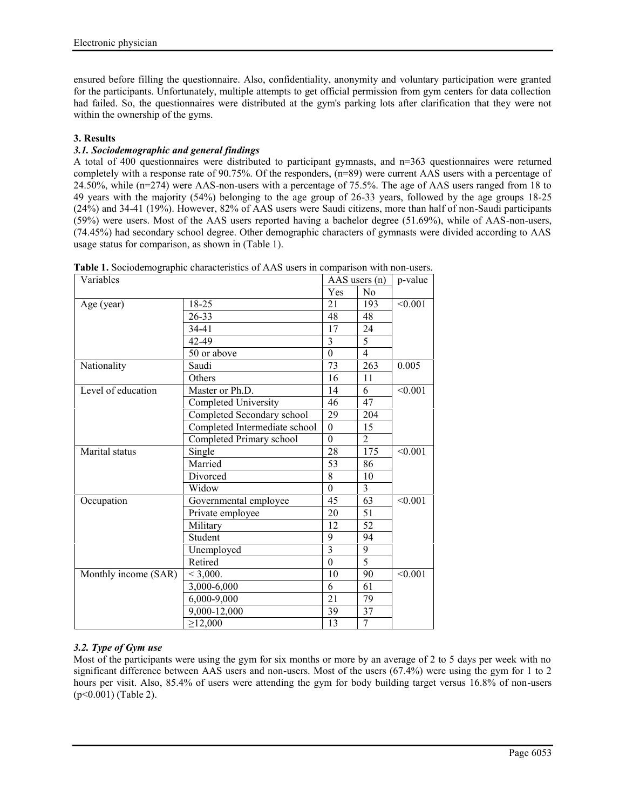ensured before filling the questionnaire. Also, confidentiality, anonymity and voluntary participation were granted for the participants. Unfortunately, multiple attempts to get official permission from gym centers for data collection had failed. So, the questionnaires were distributed at the gym's parking lots after clarification that they were not within the ownership of the gyms.

# **3. Results**

# *3.1. Sociodemographic and general findings*

A total of 400 questionnaires were distributed to participant gymnasts, and n=363 questionnaires were returned completely with a response rate of 90.75%. Of the responders, (n=89) were current AAS users with a percentage of 24.50%, while (n=274) were AAS-non-users with a percentage of 75.5%. The age of AAS users ranged from 18 to 49 years with the majority (54%) belonging to the age group of 26-33 years, followed by the age groups 18-25 (24%) and 34-41 (19%). However, 82% of AAS users were Saudi citizens, more than half of non-Saudi participants (59%) were users. Most of the AAS users reported having a bachelor degree (51.69%), while of AAS-non-users, (74.45%) had secondary school degree. Other demographic characters of gymnasts were divided according to AAS usage status for comparison, as shown in (Table 1).

| Variables            |                               | AAS users (n)    |                | p-value |
|----------------------|-------------------------------|------------------|----------------|---------|
|                      |                               | Yes              | N <sub>0</sub> |         |
| Age (year)           | 18-25                         | 21               | 193            | < 0.001 |
|                      | $26 - 33$                     | 48               | 48             |         |
|                      | 34-41                         | 17               | 24             |         |
|                      | 42-49                         | $\overline{3}$   | 5              |         |
|                      | 50 or above                   | $\theta$         | $\overline{4}$ |         |
| Nationality          | Saudi                         | 73               | 263            | 0.005   |
|                      | Others                        | 16               | 11             |         |
| Level of education   | Master or Ph.D.               | 14               | 6              | < 0.001 |
|                      | Completed University          | 46               | 47             |         |
|                      | Completed Secondary school    | 29               | 204            |         |
|                      | Completed Intermediate school | $\boldsymbol{0}$ | 15             |         |
|                      | Completed Primary school      | $\Omega$         | $\overline{2}$ |         |
| Marital status       | Single                        | 28               | 175            | < 0.001 |
|                      | Married                       | 53               | 86             |         |
|                      | Divorced                      | 8                | 10             |         |
|                      | Widow                         | $\theta$         | 3              |         |
| Occupation           | Governmental employee         | 45               | 63             | < 0.001 |
|                      | Private employee              | 20               | 51             |         |
|                      | Military                      | 12               | 52             |         |
|                      | Student                       | 9                | 94             |         |
|                      | Unemployed                    | $\overline{3}$   | 9              |         |
|                      | Retired                       | $\mathbf{0}$     | 5              |         |
| Monthly income (SAR) | < 3,000.                      | 10               | 90             | < 0.001 |
|                      | 3,000-6,000                   | 6                | 61             |         |
|                      | 6,000-9,000                   | 21               | 79             |         |
|                      | 9,000-12,000                  | 39               | 37             |         |
|                      | $\geq$ 12,000                 | 13               | $\overline{7}$ |         |

**Table 1.** Sociodemographic characteristics of AAS users in comparison with non-users.

# *3.2. Type of Gym use*

Most of the participants were using the gym for six months or more by an average of 2 to 5 days per week with no significant difference between AAS users and non-users. Most of the users (67.4%) were using the gym for 1 to 2 hours per visit. Also, 85.4% of users were attending the gym for body building target versus 16.8% of non-users (p<0.001) (Table 2).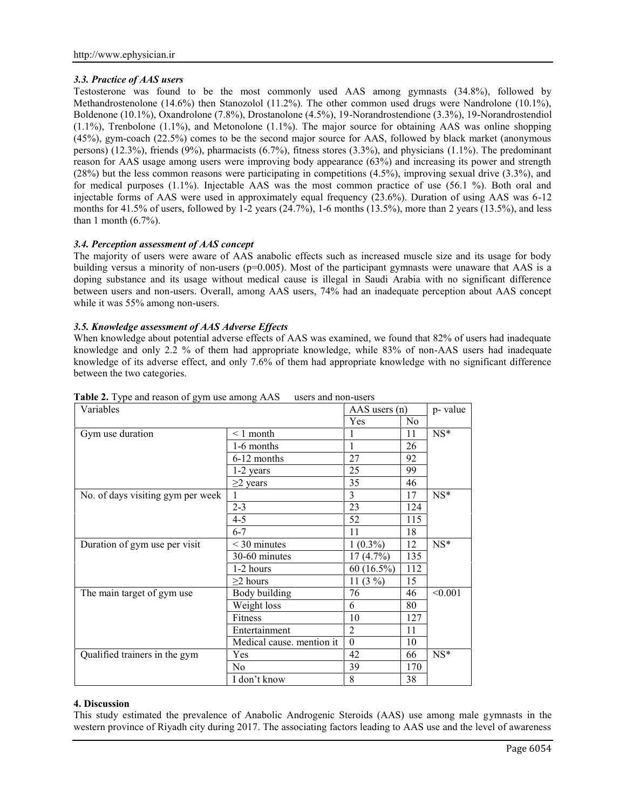## *3.3. Practice of AAS users*

Testosterone was found to be the most commonly used AAS among gymnasts (34.8%), followed by Methandrostenolone (14.6%) then Stanozolol (11.2%). The other common used drugs were Nandrolone (10.1%), Boldenone (10.1%), Oxandrolone (7.8%), Drostanolone (4.5%), 19-Norandrostendione (3.3%), 19-Norandrostendiol  $(1.1\%)$ , Trenbolone  $(1.1\%)$ , and Metonolone  $(1.1\%)$ . The major source for obtaining AAS was online shopping (45%), gym-coach (22.5%) comes to be the second major source for AAS, followed by black market (anonymous persons) (12.3%), friends (9%), pharmacists (6.7%), fitness stores (3.3%), and physicians (1.1%). The predominant reason for AAS usage among users were improving body appearance (63%) and increasing its power and strength (28%) but the less common reasons were participating in competitions (4.5%), improving sexual drive (3.3%), and for medical purposes (1.1%). Injectable AAS was the most common practice of use (56.1 %). Both oral and injectable forms of AAS were used in approximately equal frequency (23.6%). Duration of using AAS was 6-12 months for 41.5% of users, followed by  $1-2$  years  $(24.7%)$ ,  $1-6$  months  $(13.5%)$ , more than 2 years  $(13.5%)$ , and less than 1 month  $(6.7\%)$ .

## *3.4. Perception assessment of AAS concept*

The majority of users were aware of AAS anabolic effects such as increased muscle size and its usage for body building versus a minority of non-users ( $p=0.005$ ). Most of the participant gymnasts were unaware that AAS is a doping substance and its usage without medical cause is illegal in Saudi Arabia with no significant difference between users and non-users. Overall, among AAS users, 74% had an inadequate perception about AAS concept while it was 55% among non-users.

## *3.5. Knowledge assessment of AAS Adverse Effects*

When knowledge about potential adverse effects of AAS was examined, we found that 82% of users had inadequate knowledge and only 2.2 % of them had appropriate knowledge, while 83% of non-AAS users had inadequate knowledge of its adverse effect, and only 7.6% of them had appropriate knowledge with no significant difference between the two categories.

| Variables                         | $AAS$ users $(n)$         |                | p-value |         |
|-----------------------------------|---------------------------|----------------|---------|---------|
|                                   |                           | Yes            | No.     |         |
| Gym use duration                  | $\leq 1$ month            |                | 11      | $NS*$   |
|                                   | 1-6 months                |                | 26      |         |
|                                   | 6-12 months               | 27             | 92      |         |
|                                   | 1-2 years                 | 25             | 99      |         |
|                                   | $\geq$ 2 years            | 35             | 46      |         |
| No. of days visiting gym per week | 1                         | 3              | 17      | $NS*$   |
|                                   | $2 - 3$                   | 23             | 124     |         |
|                                   | $4 - 5$                   | 52             | 115     |         |
|                                   | $6 - 7$                   | 11             | 18      |         |
| Duration of gym use per visit     | $<$ 30 minutes            | $1(0.3\%)$     | 12      | $NS*$   |
|                                   | 30-60 minutes             | 17(4.7%)       | 135     |         |
|                                   | 1-2 hours                 | $60(16.5\%)$   | 112     |         |
|                                   | $\geq$ 2 hours            | 11 $(3\%)$     | 15      |         |
| The main target of gym use        | Body building             | 76             | 46      | < 0.001 |
|                                   | Weight loss               | 6              | 80      |         |
|                                   | Fitness                   | 10             | 127     |         |
|                                   | Entertainment             | $\overline{2}$ | 11      |         |
|                                   | Medical cause. mention it | $\Omega$       | 10      |         |
| Qualified trainers in the gym     | Yes                       | 42             | 66      | $NS*$   |
|                                   | N <sub>0</sub>            | 39             | 170     |         |
|                                   | I don't know              | 8              | 38      |         |

**Table 2.** Type and reason of gym use among AAS users and non-users

#### **4. Discussion**

This study estimated the prevalence of Anabolic Androgenic Steroids (AAS) use among male gymnasts in the western province of Riyadh city during 2017. The associating factors leading to AAS use and the level of awareness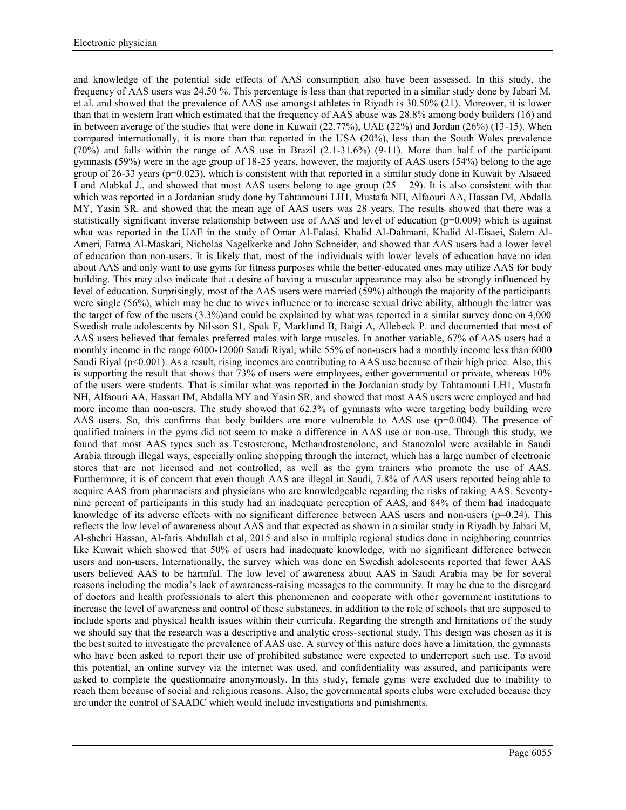and knowledge of the potential side effects of AAS consumption also have been assessed. In this study, the frequency of AAS users was 24.50 %. This percentage is less than that reported in a similar study done by Jabari M. et al. and showed that the prevalence of AAS use amongst athletes in Riyadh is 30.50% (21). Moreover, it is lower than that in western Iran which estimated that the frequency of AAS abuse was 28.8% among body builders (16) and in between average of the studies that were done in Kuwait (22.77%), UAE (22%) and Jordan (26%) (13-15). When compared internationally, it is more than that reported in the USA (20%), less than the South Wales prevalence (70%) and falls within the range of AAS use in Brazil (2.1-31.6%) (9-11). More than half of the participant gymnasts (59%) were in the age group of 18-25 years, however, the majority of AAS users (54%) belong to the age group of 26-33 years (p=0.023), which is consistent with that reported in a similar study done in Kuwait by Alsaeed I and Alabkal J., and showed that most AAS users belong to age group  $(25 - 29)$ . It is also consistent with that which was reported in a Jordanian study done by Tahtamouni LH1, Mustafa NH, Alfaouri AA, Hassan IM, Abdalla MY, Yasin SR. and showed that the mean age of AAS users was 28 years. The results showed that there was a statistically significant inverse relationship between use of AAS and level of education (p=0.009) which is against what was reported in the UAE in the study of Omar Al-Falasi, Khalid Al-Dahmani, Khalid Al-Eisaei, Salem Al- Ameri, Fatma Al-Maskari, Nicholas Nagelkerke and John Schneider, and showed that AAS users had a lower level of education than non-users. It is likely that, most of the individuals with lower levels of education have no idea about AAS and only want to use gyms for fitness purposes while the better-educated ones may utilize AAS for body building. This may also indicate that a desire of having a muscular appearance may also be strongly influenced by level of education. Surprisingly, most of the AAS users were married (59%) although the majority of the participants were single (56%), which may be due to wives influence or to increase sexual drive ability, although the latter was the target of few of the users (3.3%)and could be explained by what was reported in a similar survey done on 4,000 Swedish male adolescents by Nilsson S1, Spak F, Marklund B, Baigi A, Allebeck P. and documented that most of AAS users believed that females preferred males with large muscles. In another variable, 67% of AAS users had a monthly income in the range 6000-12000 Saudi Riyal, while 55% of non-users had a monthly income less than 6000 Saudi Rival ( $p \le 0.001$ ). As a result, rising incomes are contributing to AAS use because of their high price. Also, this is supporting the result that shows that 73% of users were employees, either governmental or private, whereas 10% of the users were students. That is similar what was reported in the Jordanian study by Tahtamouni LH1, Mustafa NH, Alfaouri AA, Hassan IM, Abdalla MY and Yasin SR, and showed that most AAS users were employed and had more income than non-users. The study showed that 62.3% of gymnasts who were targeting body building were AAS users. So, this confirms that body builders are more vulnerable to AAS use  $(p=0.004)$ . The presence of qualified trainers in the gyms did not seem to make a difference in AAS use or non-use. Through this study, we found that most AAS types such as Testosterone, Methandrostenolone, and Stanozolol were available in Saudi Arabia through illegal ways, especially online shopping through the internet, which has a large number of electronic stores that are not licensed and not controlled, as well as the gym trainers who promote the use of AAS. Furthermore, it is of concern that even though AAS are illegal in Saudi, 7.8% of AAS users reported being able to acquire AAS from pharmacists and physicians who are knowledgeable regarding the risks of taking AAS. Seventy nine percent of participants in this study had an inadequate perception of AAS, and 84% of them had inadequate knowledge of its adverse effects with no significant difference between AAS users and non-users (p=0.24). This reflects the low level of awareness about AAS and that expected as shown in a similar study in Riyadh by Jabari M, Al-shehri Hassan, Al-faris Abdullah et al, 2015 and also in multiple regional studies done in neighboring countries like Kuwait which showed that 50% of users had inadequate knowledge, with no significant difference between users and non-users. Internationally, the survey which was done on Swedish adolescents reported that fewer AAS users believed AAS to be harmful. The low level of awareness about AAS in Saudi Arabia may be for several reasons including the media's lack of awareness-raising messages to the community. It may be due to the disregard of doctors and health professionals to alert this phenomenon and cooperate with other government institutions to increase the level of awareness and control of these substances, in addition to the role of schools that are supposed to include sports and physical health issues within their curricula. Regarding the strength and limitations of the study we should say that the research was a descriptive and analytic cross-sectional study. This design was chosen as it is the best suited to investigate the prevalence of AAS use. A survey of this nature does have a limitation, the gymnasts who have been asked to report their use of prohibited substance were expected to underreport such use. To avoid this potential, an online survey via the internet was used, and confidentiality was assured, and participants were asked to complete the questionnaire anonymously. In this study, female gyms were excluded due to inability to reach them because of social and religious reasons. Also, the governmental sports clubs were excluded because they are under the control of SAADC which would include investigations and punishments.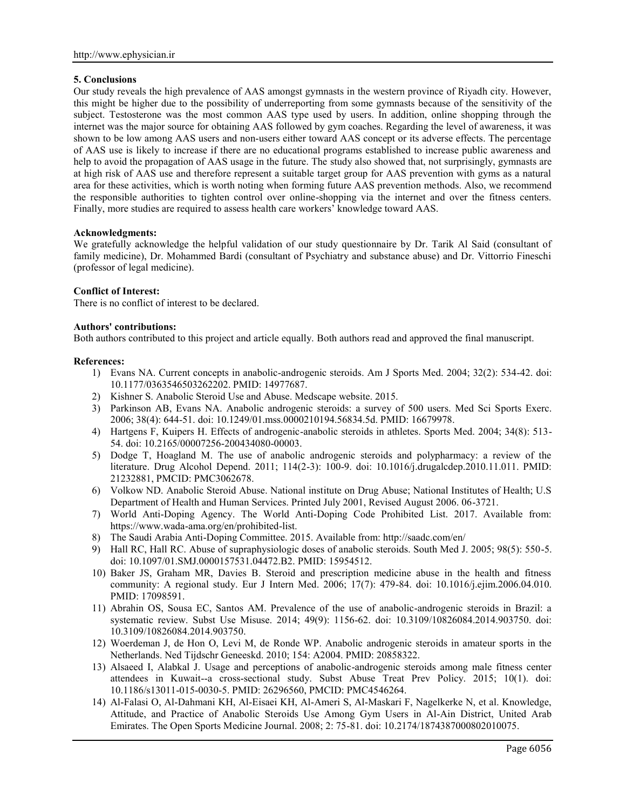## **5. Conclusions**

Our study reveals the high prevalence of AAS amongst gymnasts in the western province of Riyadh city. However, this might be higher due to the possibility of underreporting from some gymnasts because of the sensitivity of the subject. Testosterone was the most common AAS type used by users. In addition, online shopping through the internet was the major source for obtaining AAS followed by gym coaches. Regarding the level of awareness, it was shown to be low among AAS users and non-users either toward AAS concept or its adverse effects. The percentage of AAS use is likely to increase if there are no educational programs established to increase public awareness and help to avoid the propagation of AAS usage in the future. The study also showed that, not surprisingly, gymnasts are at high risk of AAS use and therefore represent a suitable target group for AAS prevention with gyms as a natural area for these activities, which is worth noting when forming future AAS prevention methods. Also, we recommend the responsible authorities to tighten control over online-shopping via the internet and over the fitness centers. Finally, more studies are required to assess health care workers' knowledge toward AAS.

# **Acknowledgments:**

We gratefully acknowledge the helpful validation of our study questionnaire by Dr. Tarik Al Said (consultant of family medicine), Dr. Mohammed Bardi (consultant of Psychiatry and substance abuse) and Dr. Vittorrio Fineschi (professor of legal medicine).

## **Conflict of Interest:**

There is no conflict of interest to be declared.

## **Authors' contributions:**

Both authors contributed to this project and article equally. Both authors read and approved the final manuscript.

#### **References:**

- 1) Evans NA. Current concepts in anabolic-androgenic steroids. Am J Sports Med. 2004; 32(2): 534-42. doi: 10.1177/0363546503262202. PMID: 14977687.
- 2) Kishner S. Anabolic Steroid Use and Abuse. Medscape website. 2015.
- 3) Parkinson AB, Evans NA. Anabolic androgenic steroids: a survey of 500 users. Med Sci Sports Exerc. 2006; 38(4): 644-51. doi: 10.1249/01.mss.0000210194.56834.5d. PMID: 16679978.
- 4) Hartgens F, Kuipers H. Effects of androgenic-anabolic steroids in athletes. Sports Med. 2004; 34(8): 513- 54. doi: 10.2165/00007256-200434080-00003.
- 5) Dodge T, Hoagland M. The use of anabolic androgenic steroids and polypharmacy: a review of the literature. Drug Alcohol Depend. 2011; 114(2-3): 100-9. doi: 10.1016/j.drugalcdep.2010.11.011. PMID: 21232881, PMCID: PMC3062678.
- 6) Volkow ND. Anabolic Steroid Abuse. National institute on Drug Abuse; National Institutes of Health; U.S Department of Health and Human Services. Printed July 2001, Revised August 2006. 06-3721.
- 7) World Anti-Doping Agency. The World Anti-Doping Code Prohibited List. 2017. Available from: https://www.wada-ama.org/en/prohibited-list.
- 8) The Saudi Arabia Anti-Doping Committee. 2015. Available from: http://saadc.com/en/
- 9) Hall RC, Hall RC. Abuse of supraphysiologic doses of anabolic steroids. South Med J. 2005; 98(5): 550-5. doi: 10.1097/01.SMJ.0000157531.04472.B2. PMID: 15954512.
- 10) Baker JS, Graham MR, Davies B. Steroid and prescription medicine abuse in the health and fitness community: A regional study. Eur J Intern Med. 2006; 17(7): 479-84. doi: 10.1016/j.ejim.2006.04.010. PMID: 17098591.
- 11) Abrahin OS, Sousa EC, Santos AM. Prevalence of the use of anabolic-androgenic steroids in Brazil: a systematic review. Subst Use Misuse. 2014; 49(9): 1156-62. doi: 10.3109/10826084.2014.903750. doi: 10.3109/10826084.2014.903750.
- 12) Woerdeman J, de Hon O, Levi M, de Ronde WP. Anabolic androgenic steroids in amateur sports in the Netherlands. Ned Tijdschr Geneeskd. 2010; 154: A2004. PMID: 20858322.
- 13) Alsaeed I, Alabkal J. Usage and perceptions of anabolic-androgenic steroids among male fitness center attendees in Kuwait--a cross-sectional study. Subst Abuse Treat Prev Policy. 2015; 10(1). doi: 10.1186/s13011-015-0030-5. PMID: 26296560, PMCID: PMC4546264.
- 14) Al-Falasi O, Al-Dahmani KH, Al-Eisaei KH, Al-Ameri S, Al-Maskari F, Nagelkerke N, et al. Knowledge, Attitude, and Practice of Anabolic Steroids Use Among Gym Users in Al-Ain District, United Arab Emirates. The Open Sports Medicine Journal. 2008; 2: 75-81. doi: 10.2174/1874387000802010075.